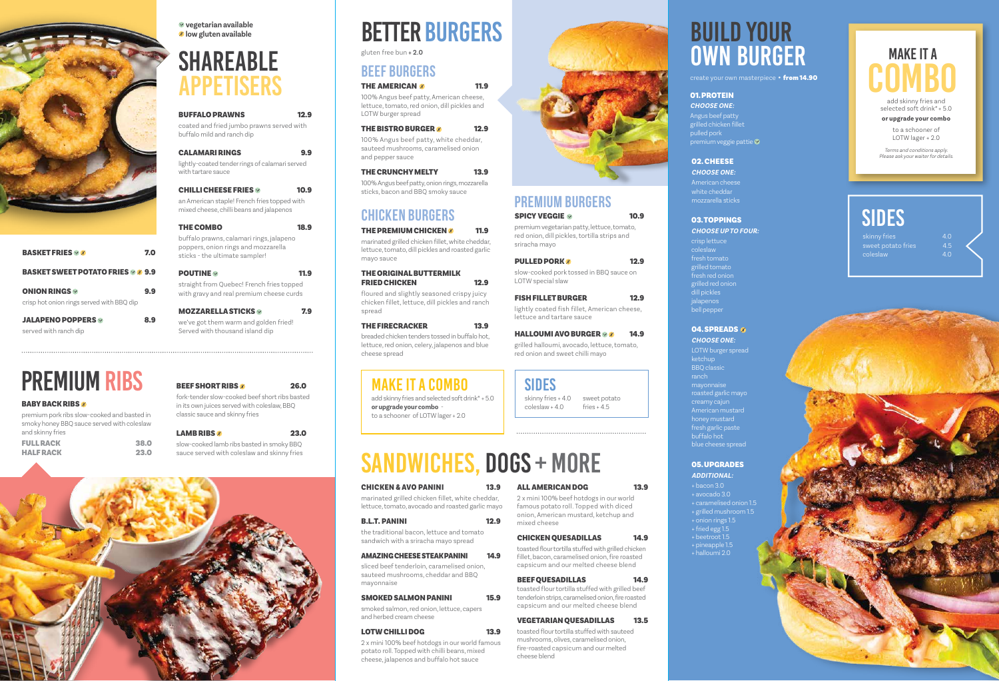| <b>BUFFALO PRAWNS</b>                                                                    | 12.9 |
|------------------------------------------------------------------------------------------|------|
| coated and fried jumbo prawns served with<br>buffalo mild and ranch dip                  |      |
| CALAMARI RINGS                                                                           |      |
| lightly-coated tender rings of calamari served<br>with tartare sauce                     |      |
| CHILLI CHEESE FRIES $\diamond$                                                           | 10.9 |
| an American staple! French fries topped with<br>mixed cheese, chilli beans and jalapenos |      |
| <b>THE COMBO</b>                                                                         | 18.9 |
| buffalo prawns, calamari rings, jalapeno<br>poppers, onion rings and mozzarella          |      |

MOZZARELLA STICKS **7.9** we've got them warm and golden fried! Served with thousand island dip



| <b>BASKET FRIES <i>M</i></b>                                    | 7.0 |
|-----------------------------------------------------------------|-----|
| <b>BASKET SWEET POTATO FRIES &amp; # 9.9</b>                    |     |
| <b>ONION RINGS</b><br>crisp hot onion rings served with BBQ dip | 9.y |
| <b>JALAPENO POPPERS</b><br>served with ranch dip                | 8.9 |

poppers, onion rings and mozzarella sticks - the ultimate sampler!

| <b>POUTINE</b>                            | <b>11.9</b> |
|-------------------------------------------|-------------|
| straight from Quebec! French fries topped |             |
| with gravy and real premium cheese curds  |             |

# APPETISERS SHAREABLE

 $\vee$  vegetarian available low gluten available

# OWN BURGER

create your own masterpiece • from 14.90

# PREMIUM RIBS

#### **BABY BACK RIBS #**

| premium pork ribs slow-cooked and basted in |      |
|---------------------------------------------|------|
| smoky honey BBQ sauce served with coleslaw  |      |
| and skinny fries                            |      |
| <b>FULL RACK</b>                            | 38.0 |
| <b>HALFRACK</b>                             | 23.0 |

#### THE ORIGINAL BUTTERMILK FRIED CHICKEN 12.9



# BETTER BURGERS BUILD YOUR

# SIDES

sweet potato fries coleslaw

| J            |  |  |  |
|--------------|--|--|--|
| $\mathbf{C}$ |  |  |  |
|              |  |  |  |

skinny fries + 4.0 sweet potato coleslaw + 4.0

fries  $+4.5$ 

### SIDES

add skinny fries and selected soft drink\* + 5.0 or upgrade your combo to a schooner of LOTW lager + 2.0



### MAKE IT A COMBO

100% Angus beef patty, American cheese, lettuce, tomato, red onion, dill pickles and LOTW burger spread

#### THE BISTRO BURGER 8 12.9

100% Angus beef patty, white cheddar, sauteed mushrooms, caramelised onion and pepper sauce

### THE CRUNCHY MELTY 13.9

100% Angus beef patty, onion rings, mozzarella sticks, bacon and BBQ smoky sauce

gluten free bun + 2.0

marinated grilled chicken fillet, white cheddar, lettuce, tomato, dill pickles and roasted garlic mayo sauce

floured and slightly seasoned crispy juicy chicken fillet, lettuce, dill pickles and ranch spread

#### THE FIRECRACKER 13.9

breaded chicken tenders tossed in buffalo hot, lettuce, red onion, celery, jalapenos and blue cheese spread

# CHICKEN BURGERS

#### THE PREMIUM CHICKEN  $\%$  11.9

## PREMIUM BURGERS

### $SPICY VEGGIE \sim 10.9$

## BEEF BURGERS

#### THE AMERICAN 8 11.9

premium vegetarian patty, lettuce, tomato, red onion, dill pickles, tortilla strips and sriracha mayo

#### **PULLED PORK 4** 2.9

# MAKE IT A **COMBO**

slow-cooked pork tossed in BBQ sauce on LOTW special slaw

### FISH FILLET BURGER 12.9

lightly coated fish fillet, American cheese, lettuce and tartare sauce

#### HALLOUMI AVO BURGER  $\otimes$   $\otimes$  14.9

grilled halloumi, avocado, lettuce, tomato, red onion and sweet chilli mayo

marinated grilled chicken fillet, white cheddar, lettuce, tomato, avocado and roasted garlic mayo

#### **B.L.T. PANINI** 12.9

the traditional bacon, lettuce and tomato sandwich with a sriracha mayo spread

#### AMAZING CHEESE STEAK PANINI 14.9

sliced beef tenderloin, caramelised onion, sauteed mushrooms, cheddar and BBQ mayonnaise

#### SMOKED SALMON PANINI 15.9

smoked salmon, red onion, lettuce, capers and herbed cream cheese

#### LOTW CHILLI DOG 13.9

2 x mini 100% beef hotdogs in our world famous potato roll. Topped with chilli beans, mixed cheese, jalapenos and buffalo hot sauce

# ALL AMERICAN DOG 13.9

2 x mini 100% beef hotdogs in our world famous potato roll. Topped with diced onion, American mustard, ketchup and mixed cheese

#### CHICKEN QUESADILLAS 14.9

toasted flour tortilla stuffed with grilled chicken fillet, bacon, caramelised onion, fire roasted capsicum and our melted cheese blend

### BEEF QUESADILLAS 14.9

toasted flour tortilla stuffed with grilled beef tenderloin strips, caramelised onion, fire roasted capsicum and our melted cheese blend

### VEGETARIAN QUESADILLAS 13.5

toasted flour tortilla stuffed with sauteed mushrooms, olives, caramelised onion, fire-roasted capsicum and our melted cheese blend



# SANDWICHES, DOGS + MORE

#### CHICKEN & AVO PANINI 13.9

crisp lettuce coleslaw fresh tomato lled tomato fresh red onion grilled red onion dill pickles jalapenos bell pepper

#### **04. SPREADS ®**

#### 03. TOPPINGS CHOOSE UP TO FOUR:

#### 02. CHEESE

American cheese white cheddar mozzarella sticks

CHOOSE ONE:

#### 01. PROTEIN

Angus beef patty grilled chicken fillet pulled pork premium veggie pattie CHOOSE ONE:

- + onion rings 1.5
- + fried egg 1.5
- 
- 
- 
- + grilled mushroom 1.5
- 
- 
- 
- + pineapple 1.5
- + halloumi 2.0

05. UPGRADES + bacon 3.0 + avocado 3.0 + caramelised onion 1.5 ADDITIONAL: creamy cajun American mustard honey mustard blue cheese spread

LOTW burger spread ketchup BBQ classic mayonnaise roasted garlic mayo fresh garlic paste buffalo hot

#### CHOOSE ONE:

add skinny fries and selected soft drink\* + 5.0 or upgrade your combo

> to a schooner of LOTW lager + 2.0

Terms and conditions apply. Please ask your waiter for details.